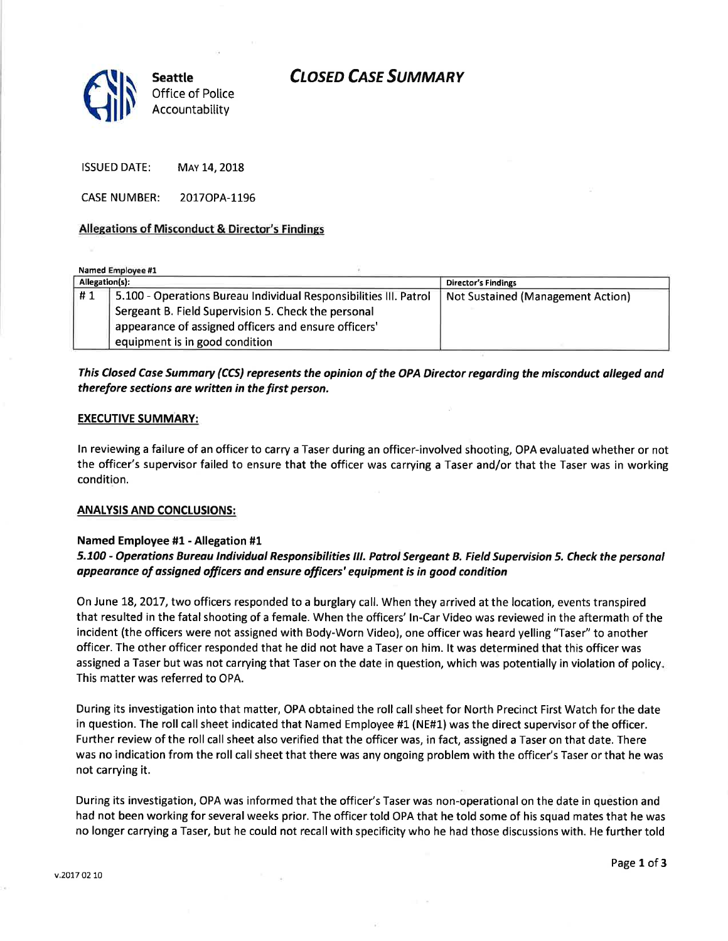# **CLOSED CASE SUMMARY**



ISSUED DATE: MAY 14, 2018

CASE NUMBER: 2017OPA-1196

## Allesations of Misconduct & Director's Findings

Named Employee #1

| Allegation(s): |                                                                   | <b>Director's Findings</b>               |
|----------------|-------------------------------------------------------------------|------------------------------------------|
| #1             | 5.100 - Operations Bureau Individual Responsibilities III. Patrol | <b>Not Sustained (Management Action)</b> |
|                | Sergeant B. Field Supervision 5. Check the personal               |                                          |
|                | appearance of assigned officers and ensure officers'              |                                          |
|                | equipment is in good condition                                    |                                          |

# This Closed Case Summary (CCS) represents the opinion of the OPA Diredor regarding the misconduct olleged and therefore sections are written in the first person.

#### EXECUTIVE SUMMARY:

ln reviewing a failure of an officer to carry a Taser during an officer-involved shooting, OPA evaluated whether or not the officer's supervisor failed to ensure that the officer was carrying a Taser and/or that the Taser was in working condition.

## ANALYSIS AND CONCLUSIONS:

## Named Employee #1 - Allegation #1

# 5.700 - Operations Bureou tndividuol Responsibilities tll. Patrot Sergeant B. Field Superuision 5. Check the personal appearance of assigned officers and ensure officers' equipment is in good condition

On June 18,2OL7, two officers responded to a burglary call. When they arrived at the location, events transpired that resulted in the fatal shooting of a female. When the officers' ln-Car Video was reviewed in the aftermath of the incident (the officers were not assigned with Body-Worn Video), one officer was heard yelling "Taser" to another officer. The other officer responded that he did not have a Taser on him. lt was determined that this officer was assigned a Taser but was not carrying that Taser on the date in question, which was potentially in violation of policy This matter was referred to OPA.

During its investigation into that matter, OPA obtained the roll call sheet for North Precinct First Watch for the date in question. The roll call sheet indicated that Named Employee #1 (NE#1) was the direct supervisor of the officer. Further review of the roll call sheet also verified that the officer was, in fact, assigned a Taser on that date. There was no indication from the roll call sheet that there was any ongoing problem with the officer's Taser or that he was not carrying it.

During its investigation, OPA was informed that the officer's Taser was non-operational on the date in question and had not been working for several weeks prior. The officer told OPA that he told some of his squad mates that he was no longer carrying a Taser, but he could not recall with specificity who he had those discussions with. He further told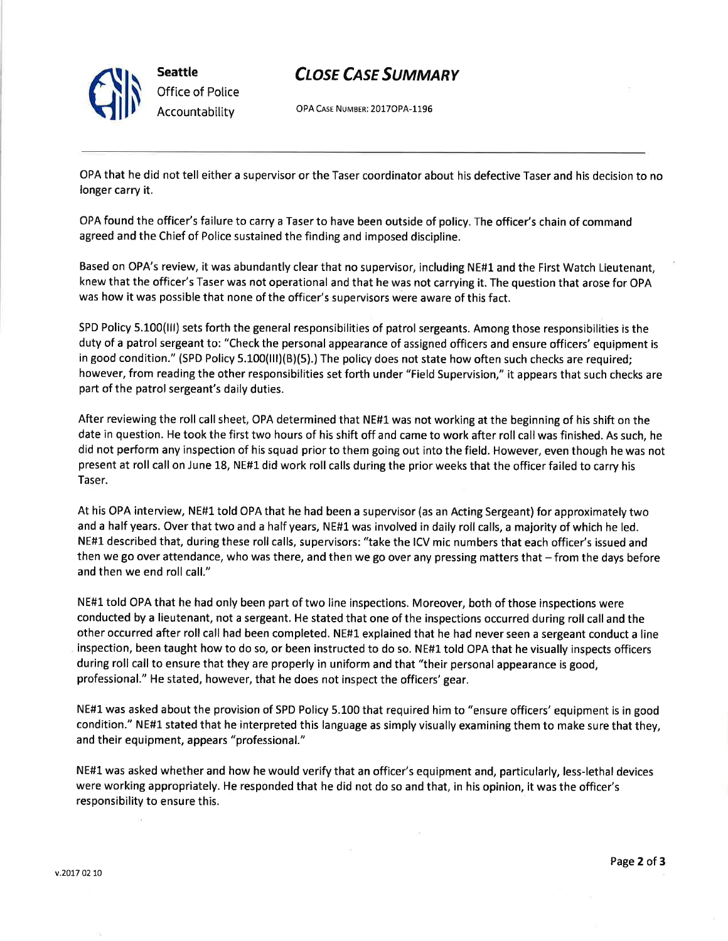

# **CLOSE CASE SUMMARY**

OPA CASE NUMBER: 2017OPA-1196

OPA that he did not tell either a supervisor or the Taser coordinator about his defective Taser and his decision to no longer carry it.

OPA found the officer's failure to carry a Taser to have been outside of policy. The officer's chain of command agreed and the Chief of Police sustained the finding and imposed discipline.

Based on OPA's review, it was abundantly clear that no supervisor, including NE#1 and the First Watch Lieutenant, knew that the officer's Taser was not operational and that he was not carrying it. The question that arose for OPA was how it was possible that none of the officer's supervisors were aware of this fact.

SPD Policy 5.100(lll) sets forth the general responsibilities of patrol sergeants. Among those responsibilities is the duty of a patrol sergeant to: "Check the personal appearance of assigned officers and ensure officers' equipment is in good condition." (SPD Policy 5.100(III)(B)(5).) The policy does not state how often such checks are required; however, from reading the other responsibilities set forth under "Field Supervision," it appears that such checks are part of the patrol sergeant's daily duties.

After reviewing the roll call sheet, OPA determined that NE#1 was not working at the beginning of his shift on the date in question. He took the first two hours of his shift off and came to work after roll call was finished. As such, he did not perform any inspection of his squad prior to them going out into the field. However, even though he was not present at roll call on June L8, NE#L did work roll calls during the prior weeks that the officer failed to carry his Taser.

At his OPA interview, NE#1 told OPA that he had been a supervisor (as an Acting Sergeant) for approximately two and a half years. Over that two and a half years, NE#L was involved in daily roll calls, a majority of which he led. NE#1 described that, during these roll calls, supervisors: "take the ICV mic numbers that each officer's issued and then we go over attendance, who was there, and then we go over any pressing matters that  $-$  from the days before and then we end roll call."

NE#1 told OPA that he had only been part of two line inspections. Moreover, both of those inspections were conducted by a lieutenant, not a sergeant. He stated that one of the inspections occurred during roll call and the other occurred after roll call had been completed. NE#1 explained that he had never seen a sergeant conduct a line inspection, been taught how to do so, or been instructed to do so. NE#1told OPA that he visually inspects officers during roll call to ensure that they are properly in uniform and that "their personal appearance is good, professional." He stated, however, that he does not inspect the officers' gear.

NE#1 was asked about the provision of SPD Policy 5.100 that required him to "ensure officers' equipment is in good condition." NE#1 stated that he interpreted this language as simply visually examining them to make sure that they, and their equipment, appears "professional."

NE#1 was asked whether and how he would verify that an officer's equipment and, particularly, less-lethal devices were working appropriately. He responded that he did not do so and that, in his opinion, it was the officer's responsibility to ensure this,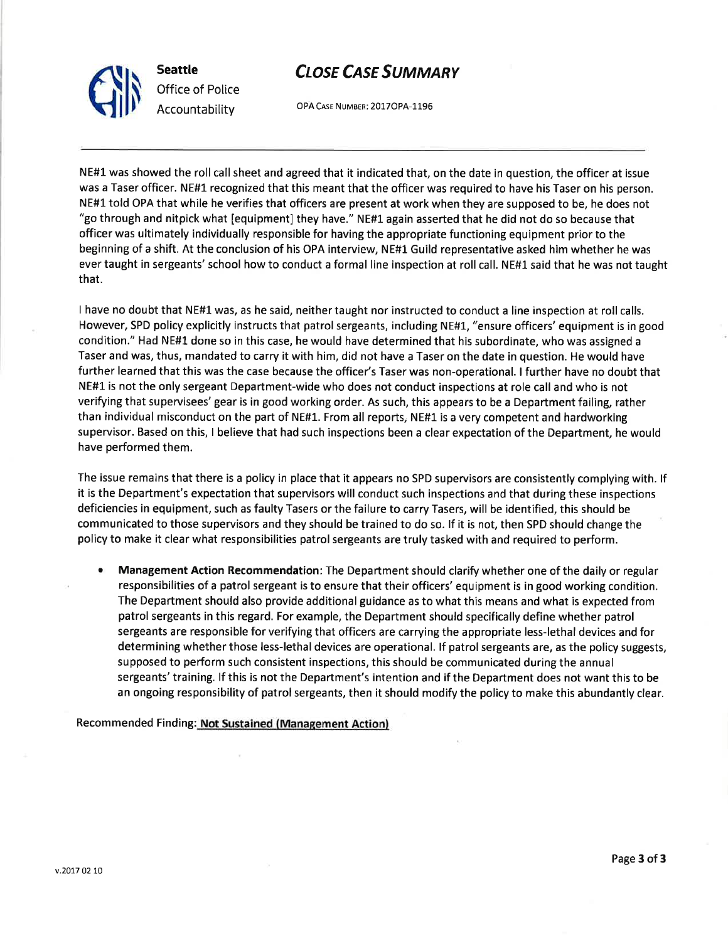

Clh **Seattle** Office of Police Accountability

OPA CASE NUMBER: 2017OPA-1196

NE#1was showed the roll call sheet and agreed that it indicated that, on the date in question, the officer at issue was a Taser officer. NE#1 recognized that this meant that the officer was required to have his Taser on his person. NE#1 told OPA that while he verifies that officers are present at work when they are supposed to be, he does not "go through and nitpick what [equipment] they have." NE#L again asserted that he did not do so because that officer was ultimately individually responsible for having the appropriate functioning equipment prior to the beginning of a shift. At the conclusion of his OPA interview, NE#1 Guild representative asked him whether he was ever taught in sergeants' school how to conduct a formal line inspection at roll call. NE#1 said that he was not taught that.

I have no doubt that NE#L was, as he said, neithertaught nor instructed to conduct a line inspection at rollcalls. However, SPD policy explicitly instructs that patrol sergeants, including NE#L, "ensure officers'equipment is in good condition." Had NE#l done so in this case, he would have determined that his subordinate, who was assigned <sup>a</sup> Taser and was, thus, mandated to carry it with him, did not have a Taser on the date in question. He would have further learned that this was the case because the officer's Taser was non-operational. I further have no doubt that NE#1 is not the only sergeant Department-wide who does not conduct inspections at role call and who is not verifying that supervisees' gear is in good working order. As such, this appears to be a Department failing, rather than individual misconduct on the part of NE#1. From all reports, NE#1 is a very competent and hardworking supervisor. Based on this, I believe that had such inspections been a clear expectation of the Department, he would have performed them.

The issue remains that there is a policy in place that it appears no SPD supervisors are consistently complying with. lf it is the Department's expectation that supervisors will conduct such inspections and that during these inspections deficiencies in equipment, such as faulty Tasers or the failure to carry Tasers, will be identified, this should be communicated to those supervisors and they should be trained to do so. lf it is not, then SPD should change the policy to make it clear what responsibilities patrol sergeants are truly tasked with and required to perform.

Management Action Recommendation: The Department should clarify whether one of the daily or regular responsibilities of a patrol sergeant is to ensure that their officers' equipment is in good working condition. The Department should also provide additional guidance as to what this means and what is expected from patrol sergeants in this regard. For example, the Department should specifically define whether patrol sergeants are responsible for verifying that officers are carrying the appropriate less-lethal devices and for determining whether those less-lethal devices are operational. lf patrol sergeants are, as the policy suggests, supposed to perform such consistent inspections, this should be communicated during the annual sergeants' training. lf this is not the Department's intention and if the Department does not want this to be an ongoing responsibility of patrol sergeants, then it should modify the policy to make this abundantly clear. a

Recommended Finding: Not Sustained (Management Action)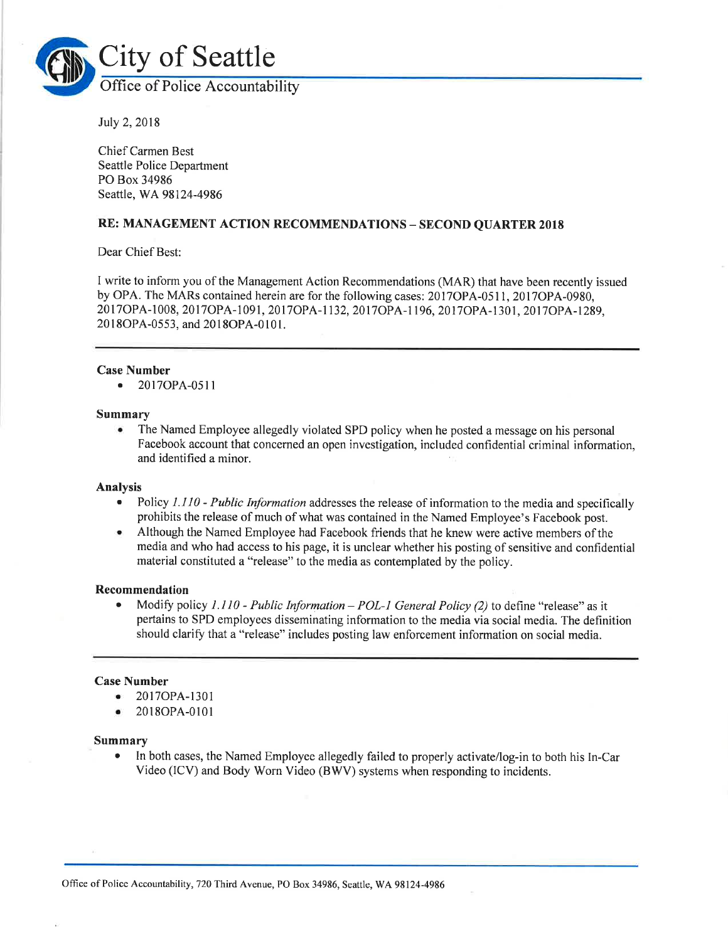

Iuly 2,2018

Chief Carmen Best Seattle Police Department PO Box 34986 Seattle, WA98124-4986

## RE: MANAGEMENT ACTION RECOMMENDATIONS - SECOND QUARTER <sup>2018</sup>

Dear Chief Best:

I write to inform you of the Management Action Recommendations (MAR) that have been recently issued by OPA. The MARs contained herein are for the following cases: 2017OPA-05 <sup>1</sup>1 , 2017OPA-0980, 20170PA-1008, 20170PA-1091, 20l70PA-1 132,2017OpA-1 196, 2017oPA-1301, 20170pA-1289, 2018OPA-0553, and 2018OPA-0101.

## Case Number

o 2017OPA-0511

#### Summary

. The Named Employee allegedly violated SPD policy when he posted a message on his personal Facebook account that concerned an open investigation, included confidential criminal information, and identified a minor.

## Analysis

- Policy 1.110 Public Information addresses the release of information to the media and specifically prohibits the release of much of what was contained in the Named Employee's Facebook post.
- o Although the Named Employee had Facebook friends that he knew were active members of the media and who had access to his page, it is unclear whether his posting of sensitive and confidential material constituted a "release" to the media as contemplated by the policy.

### Recommendation

Modify policy 1.110 - Public Information - POL-1 General Policy (2) to define "release" as it pertains to SPD employees disseminating information to the media via social media. The definition should clarify that a "release" includes posting law enforcement information on social media.

## Case Number

- o 2017OPA-1301
- . 20l8OPA-0101

#### Summary

In both cases, the Named Employee allegedly failed to properly activate/log-in to both his In-Car Video (lCV) and Body Worn Video (BWV) systems when responding to incidents.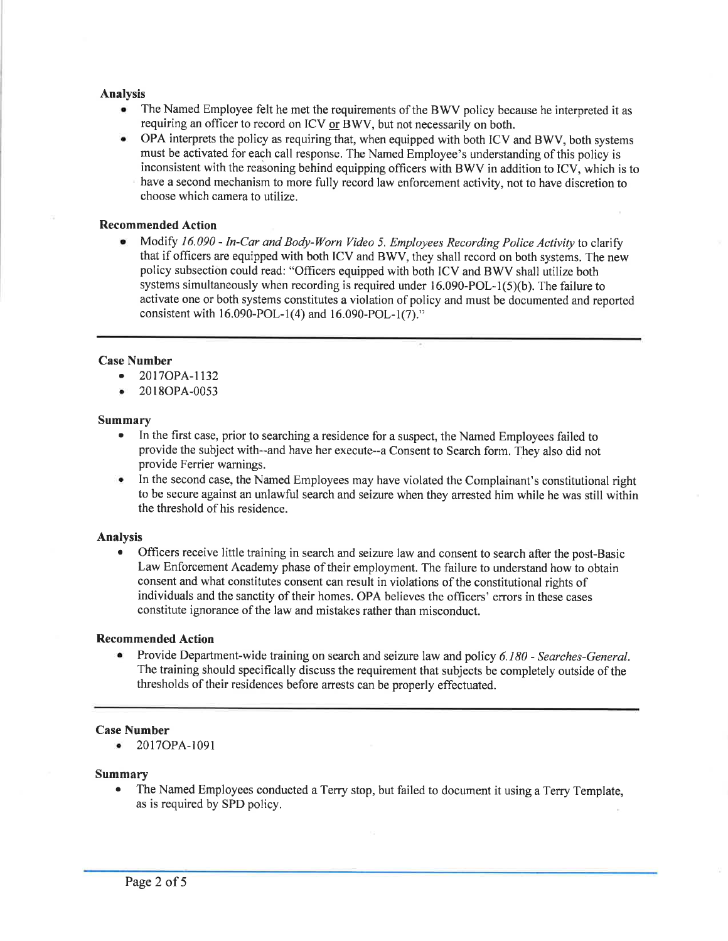#### Analysis

- o The Named Employee felt he met the requirements of the BWV policy because he interpreted it as requiring an officer to record on ICV or BWV, but not necessarily on both.
- OPA interprets the policy as requiring that, when equipped with both ICV and BWV, both systems must be activated for each call response. The Named Employee's understanding of this policy is inconsistent with the reasoning behind equipping officers with BWV in addition to ICV, which is to have a second mechanism to more fully record law enforcement activity, not to have discretion to choose which camera to utilize.

## Recommended Action

Modify 16.090 - In-Car and Body-Worn Video 5. Employees Recording Police Activity to clarify that if officers are equipped with both ICV and BWV, they shall record on both systems. The new policy subsection could read: "Officers equipped with both ICV and BWV shall utilize both systems simultaneously when recording is required under  $16.090\text{-}POL-1(5)(b)$ . The failure to activate one or both systems constitutes a violation of policy and must be documented and reported consistent with  $16.090 - POL-1(4)$  and  $16.090 - POL-1(7)$ ."

## Case Number

- 2017OPA-1132
- 2018OPA-0053

#### Summary

- In the first case, prior to searching a residence for a suspect, the Named Employees failed to provide the subject with--and have her execute--a Consent to Search form. They also did not provide Ferrier warnings.
- In the second case, the Named Employees may have violated the Complainant's constitutional right to be secure against an unlawful search and seizure when they arrested him while he was still within the threshold of his residence.

## Analysis

. Officers receive little training in search and seizure law and consent to search after the post-Basic Law Enforcement Academy phase of their employment. The failure to understand how to obtain consent and what constitutes consent can result in violations of the constitutional rights of individuals and the sanctity of their homes. OPA believes the officers' errors in these cases constitute ignorance of the law and mistakes rather than misconduct.

#### Recommended Action

Provide Department-wide training on search and seizure law and policy 6.180 - Searches-General. The training should specifically discuss the requirement that subjects be completely outside of the thresholds of their residences before arrests can be properly effectuated.

#### Case Number

o 20I7OPA-1091

#### Summary

. The Named Employees conducted a Terry stop, but failed to document it using a Terry Template, as is required by SPD policy.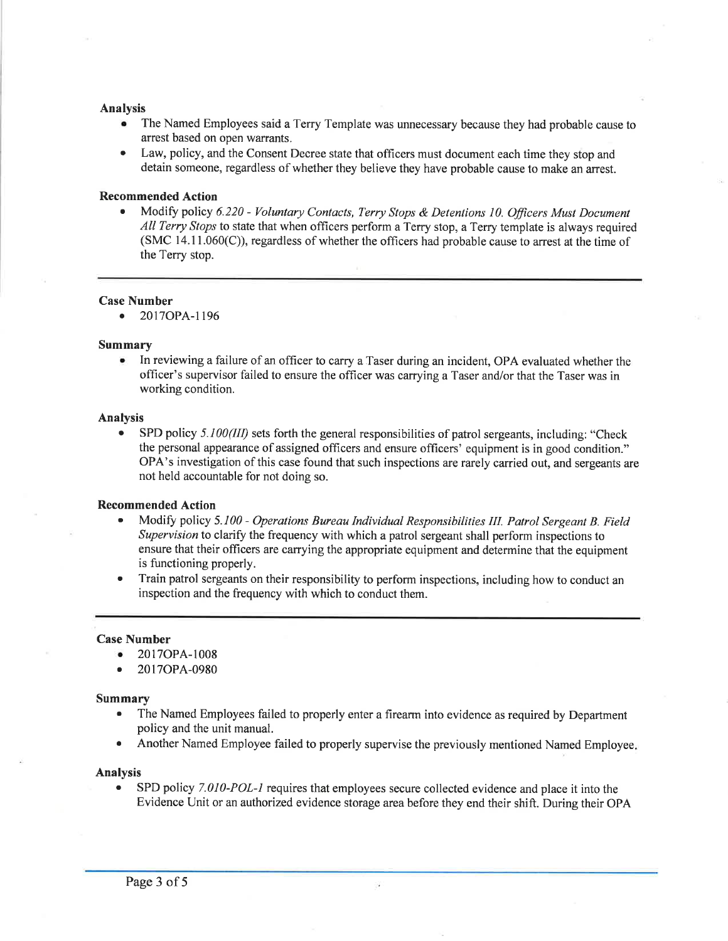#### Analysis

- o The Named Employees said a Terry Template was unnecessary because they had probable cause to arrest based on open warrants.
- o Law, policy, and the Consent Decree state that officers must document each time they stop and detain someone, regardless of whether they believe they have probable cause to make an arrest.

## Recommended Action

Modify policy 6.220 - Voluntary Contacts, Terry Stops & Detentions 10. Officers Must Document All Terry Stops to state that when officers perform a Terry stop, a Terry template is always required  $(SMC 14.11.060(C))$ , regardless of whether the officers had probable cause to arrest at the time of the Terry stop.

#### Case Number

o 2017OPA-1196

#### Summary

. In reviewing a failure of an officer to carry a Taser during an incident, OPA evaluated whether the officer's supervisor failed to ensure the officer was carrying a Taser and/or that the Taser was in working condition.

#### Analysis

SPD policy 5.100(III) sets forth the general responsibilities of patrol sergeants, including: "Check the personal appearance of assigned officers and ensure officers' equipment is in good condition." OPA's investigation of this case found that such inspections are rarely carried out, and sergeants are not held accountable for not doing so.

#### Recommended Action

- Modify policy 5.100 Operations Bureau Individual Responsibilities III. Patrol Sergeant B. Field Supervision to clarify the frequency with which a patrol sergeant shall perform inspections to ensure that their officers are carrying the appropriate equipment and determine that the equipment is functioning properly.
- Train patrol sergeants on their responsibility to perform inspections, including how to conduct an inspection and the frequency with which to conduct them.

#### Case Number

- . 2077OPA-1008
- o 2017OPA-0980

#### Summary

- The Named Employees failed to properly enter a firearm into evidence as required by Department policy and the unit manual.
- Another Named Employee failed to properly supervise the previously mentioned Named Employee.

#### Analysis

SPD policy 7.010-POL-1 requires that employees secure collected evidence and place it into the Evidence Unit or an authorized evidence storage area before they end their shift. During their OPA

ÿ,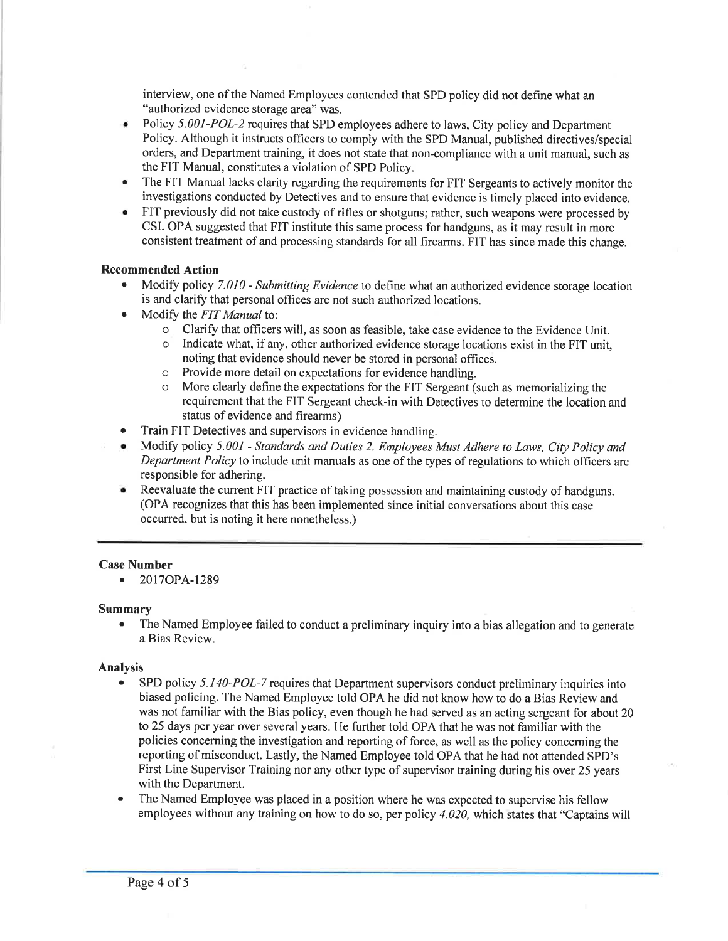interview, one of the Named Employees contended that SPD policy did not define what an "authorized evidence storage area" was.

- Policy 5.001-POL-2 requires that SPD employees adhere to laws, City policy and Department Policy. Although it instructs officers to comply with the SPD Manual, published directives/special orders, and Department training, it does not state that non-compliance with a unit manual, such as the FIT Manual, constitutes a violation of SPD Policy. a
- The FIT Manual lacks clarity regarding the requirements for FIT Sergeants to actively monitor the investigations conducted by Detectives and to ensure that evidence is timely placed into evidence. a
- FIT previously did not take custody of rifles or shotguns; rather, such weapons were processed by CSI. OPA suggested that FIT institute this same process for handguns, as it may result in more consistent treatment of and processing standards for all firearms. FIT has since made this change. a

## Recommended Action

- $\bullet$  Modify policy 7.010 Submitting Evidence to define what an authorized evidence storage location is and clarify that personal offices are not such authorized locations.
- Modify the FIT Manual to:
	- o Clarify that officers will, as soon as feasible, take case evidence to the Evidence Unit.
	- o Indicate what, if any, other authorized evidence storage locations exist in the FIT unit, noting that evidence should never be stored in personal offices.
	- o Provide more detail on expectations for evidence handling.
	- o More clearly define the expectations for the FIT Sergeant (such as memorializing the requirement that the FIT Sergeant check-in with Detectives to determine the location and status of evidence and firearms)
- Train FIT Detectives and supervisors in evidence handling.
- . Modify policy 5.001 Standards and Duties 2. Employees Must Adhere to Laws, City Policy and Department Policy to include unit manuals as one of the types of regulations to which officers are responsible for adhering.
- Reevaluate the current FIT practice of taking possession and maintaining custody of handguns. (OPA recognizes that this has been implemented since initial conversations about this case occurred, but is noting it here nonetheless.)

# Case Number

o 2017OPA-1289

## Summary

. The Named Employee failed to conduct a preliminary inquiry into a bias allegation and to generate a Bias Review.

## Analysis

- SPD policy 5.140-POL-7 requires that Department supervisors conduct preliminary inquiries into biased policing. The Named Employee told OPA he did not know how to do a Bias Review and was not familiar with the Bias policy, even though he had served as an acting sergeant for about 20 to 25 days per year over several years. He further told OPA that he was not familiar with the policies concerning the investigation and reporting of force, as well as the policy conceming the reporting of misconduct. Lastly, the Named Employee told OPA that he had not attended SPD's First Line Supervisor Training nor any other type of supervisor training during his over 25 years with the Department.
- . The Named Employee was placed in a position where he was expected to supervise his fellow employees without any training on how to do so, per policy  $4.020$ , which states that "Captains will